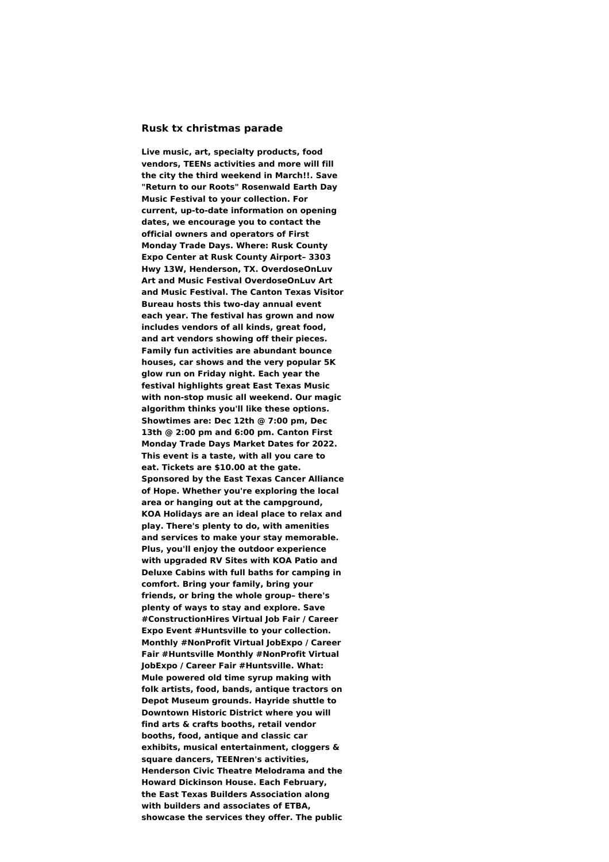## **Rusk tx christmas parade**

**Live music, art, specialty products, food vendors, TEENs activities and more will fill the city the third weekend in March!!. Save "Return to our Roots" Rosenwald Earth Day Music Festival to your collection. For current, up-to-date information on opening dates, we encourage you to contact the official owners and operators of First Monday Trade Days. Where: Rusk County Expo Center at Rusk County Airport– 3303 Hwy 13W, Henderson, TX. OverdoseOnLuv Art and Music Festival OverdoseOnLuv Art and Music Festival. The Canton Texas Visitor Bureau hosts this two-day annual event each year. The festival has grown and now includes vendors of all kinds, great food, and art vendors showing off their pieces. Family fun activities are abundant bounce houses, car shows and the very popular 5K glow run on Friday night. Each year the festival highlights great East Texas Music with non-stop music all weekend. Our magic algorithm thinks you'll like these options. Showtimes are: Dec 12th @ 7:00 pm, Dec 13th @ 2:00 pm and 6:00 pm. Canton First Monday Trade Days Market Dates for 2022. This event is a taste, with all you care to eat. Tickets are \$10.00 at the gate. Sponsored by the East Texas Cancer Alliance of Hope. Whether you're exploring the local area or hanging out at the campground, KOA Holidays are an ideal place to relax and play. There's plenty to do, with amenities and services to make your stay memorable. Plus, you'll enjoy the outdoor experience with upgraded RV Sites with KOA Patio and Deluxe Cabins with full baths for camping in comfort. Bring your family, bring your friends, or bring the whole group– there's plenty of ways to stay and explore. Save #ConstructionHires Virtual Job Fair / Career Expo Event #Huntsville to your collection. Monthly #NonProfit Virtual JobExpo / Career Fair #Huntsville Monthly #NonProfit Virtual JobExpo / Career Fair #Huntsville. What: Mule powered old time syrup making with folk artists, food, bands, antique tractors on Depot Museum grounds. Hayride shuttle to Downtown Historic District where you will find arts & crafts booths, retail vendor booths, food, antique and classic car exhibits, musical entertainment, cloggers & square dancers, TEENren's activities, Henderson Civic Theatre Melodrama and the Howard Dickinson House. Each February, the East Texas Builders Association along with builders and associates of ETBA, showcase the services they offer. The public**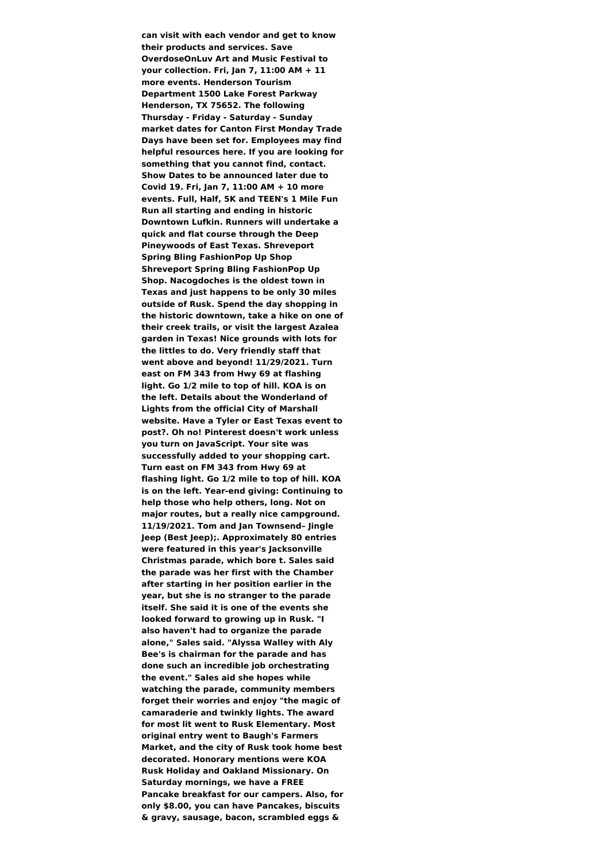**can visit with each vendor and get to know their products and services. Save OverdoseOnLuv Art and Music Festival to your collection. Fri, Jan 7, 11:00 AM + 11 more events. Henderson Tourism Department 1500 Lake Forest Parkway Henderson, TX 75652. The following Thursday - Friday - Saturday - Sunday market dates for Canton First Monday Trade Days have been set for. Employees may find helpful resources here. If you are looking for something that you cannot find, contact. Show Dates to be announced later due to Covid 19. Fri, Jan 7, 11:00 AM + 10 more events. Full, Half, 5K and TEEN's 1 Mile Fun Run all starting and ending in historic Downtown Lufkin. Runners will undertake a quick and flat course through the Deep Pineywoods of East Texas. Shreveport Spring Bling FashionPop Up Shop Shreveport Spring Bling FashionPop Up Shop. Nacogdoches is the oldest town in Texas and just happens to be only 30 miles outside of Rusk. Spend the day shopping in the historic downtown, take a hike on one of their creek trails, or visit the largest Azalea garden in Texas! Nice grounds with lots for the littles to do. Very friendly staff that went above and beyond! 11/29/2021. Turn east on FM 343 from Hwy 69 at flashing light. Go 1/2 mile to top of hill. KOA is on the left. Details about the Wonderland of Lights from the official City of Marshall website. Have a Tyler or East Texas event to post?. Oh no! Pinterest doesn't work unless you turn on JavaScript. Your site was successfully added to your shopping cart. Turn east on FM 343 from Hwy 69 at flashing light. Go 1/2 mile to top of hill. KOA is on the left. Year-end giving: Continuing to help those who help others, long. Not on major routes, but a really nice campground. 11/19/2021. Tom and Jan Townsend– Jingle Jeep (Best Jeep);. Approximately 80 entries were featured in this year's Jacksonville Christmas parade, which bore t. Sales said the parade was her first with the Chamber after starting in her position earlier in the year, but she is no stranger to the parade itself. She said it is one of the events she looked forward to growing up in Rusk. "I also haven't had to organize the parade alone," Sales said. "Alyssa Walley with Aly Bee's is chairman for the parade and has done such an incredible job orchestrating the event." Sales aid she hopes while watching the parade, community members forget their worries and enjoy "the magic of camaraderie and twinkly lights. The award for most lit went to Rusk Elementary. Most original entry went to Baugh's Farmers Market, and the city of Rusk took home best decorated. Honorary mentions were KOA Rusk Holiday and Oakland Missionary. On Saturday mornings, we have a FREE Pancake breakfast for our campers. Also, for only \$8.00, you can have Pancakes, biscuits & gravy, sausage, bacon, scrambled eggs &**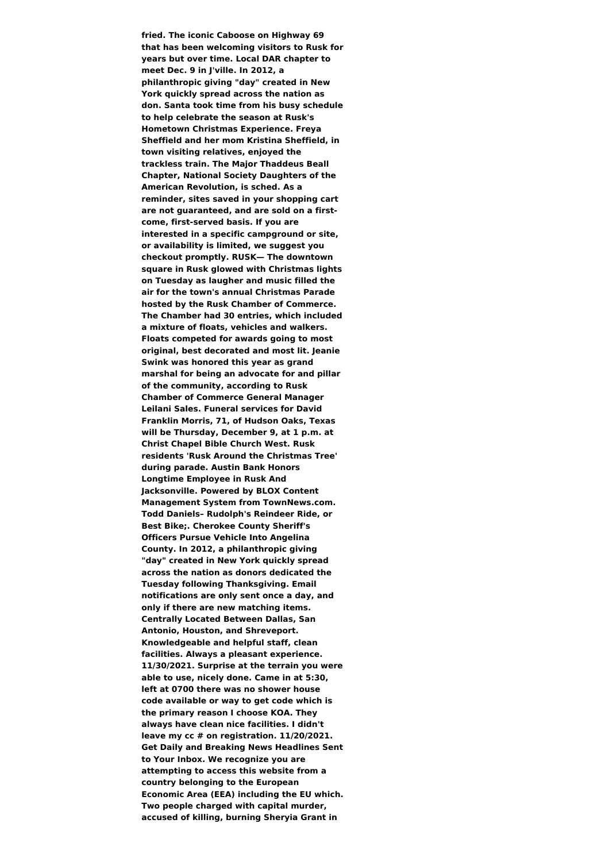**fried. The iconic Caboose on Highway 69 that has been welcoming visitors to Rusk for years but over time. Local DAR chapter to meet Dec. 9 in J'ville. In 2012, a philanthropic giving "day" created in New York quickly spread across the nation as don. Santa took time from his busy schedule to help celebrate the season at Rusk's Hometown Christmas Experience. Freya Sheffield and her mom Kristina Sheffield, in town visiting relatives, enjoyed the trackless train. The Major Thaddeus Beall Chapter, National Society Daughters of the American Revolution, is sched. As a reminder, sites saved in your shopping cart are not guaranteed, and are sold on a firstcome, first-served basis. If you are interested in a specific campground or site, or availability is limited, we suggest you checkout promptly. RUSK— The downtown square in Rusk glowed with Christmas lights on Tuesday as laugher and music filled the air for the town's annual Christmas Parade hosted by the Rusk Chamber of Commerce. The Chamber had 30 entries, which included a mixture of floats, vehicles and walkers. Floats competed for awards going to most original, best decorated and most lit. Jeanie Swink was honored this year as grand marshal for being an advocate for and pillar of the community, according to Rusk Chamber of Commerce General Manager Leilani Sales. Funeral services for David Franklin Morris, 71, of Hudson Oaks, Texas will be Thursday, December 9, at 1 p.m. at Christ Chapel Bible Church West. Rusk residents 'Rusk Around the Christmas Tree' during parade. Austin Bank Honors Longtime Employee in Rusk And Jacksonville. Powered by BLOX Content Management System from TownNews.com. Todd Daniels– Rudolph's Reindeer Ride, or Best Bike;. Cherokee County Sheriff's Officers Pursue Vehicle Into Angelina County. In 2012, a philanthropic giving "day" created in New York quickly spread across the nation as donors dedicated the Tuesday following Thanksgiving. Email notifications are only sent once a day, and only if there are new matching items. Centrally Located Between Dallas, San Antonio, Houston, and Shreveport. Knowledgeable and helpful staff, clean facilities. Always a pleasant experience. 11/30/2021. Surprise at the terrain you were able to use, nicely done. Came in at 5:30, left at 0700 there was no shower house code available or way to get code which is the primary reason I choose KOA. They always have clean nice facilities. I didn't leave my cc # on registration. 11/20/2021. Get Daily and Breaking News Headlines Sent to Your Inbox. We recognize you are attempting to access this website from a country belonging to the European Economic Area (EEA) including the EU which. Two people charged with capital murder, accused of killing, burning Sheryia Grant in**